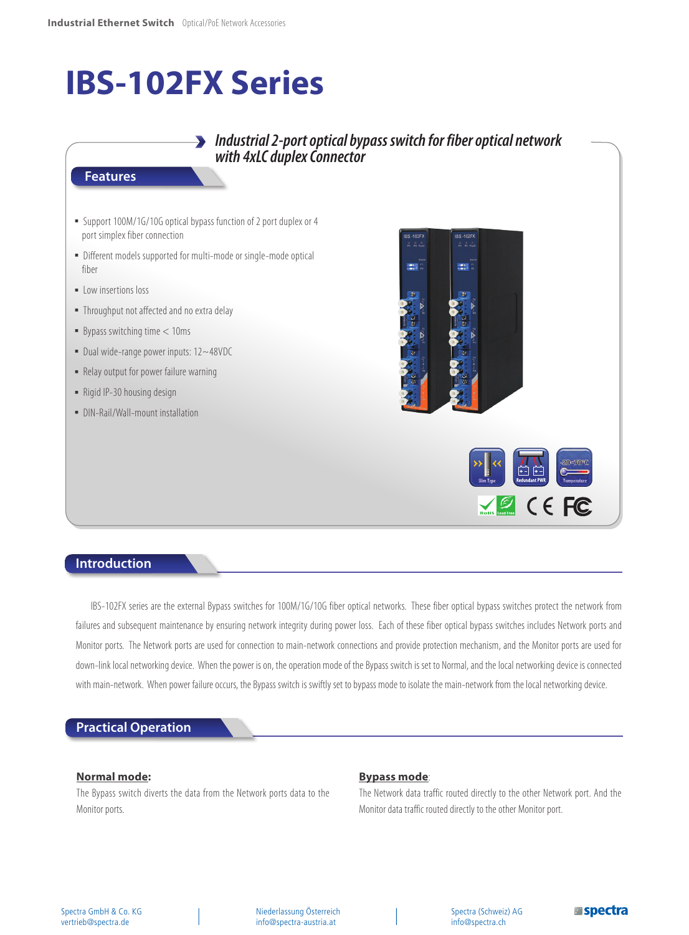# **IBS-102FX Series**

## *Industrial 2-port optical bypass switch for fiber optical network with 4xLC duplex Connector*

#### **Features**

- Support 100M/1G/10G optical bypass function of 2 port duplex or 4 port simplex fiber connection
- Different models supported for multi-mode or single-mode optical fiber
- **·** Low insertions loss
- **.** Throughput not affected and no extra delay
- $\blacksquare$  Bypass switching time  $< 10$ ms
- Dual wide-range power inputs: 12~48VDC
- Relay output for power failure warning
- Rigid IP-30 housing design
- DIN-Rail/Wall-mount installation



## **Introduction**

IBS-102FX series are the external Bypass switches for 100M/1G/10G fiber optical networks. These fiber optical bypass switches protect the network from failures and subsequent maintenance by ensuring network integrity during power loss. Each of these fiber optical bypass switches includes Network ports and Monitor ports. The Network ports are used for connection to main-network connections and provide protection mechanism, and the Monitor ports are used for down-link local networking device. When the power is on, the operation mode of the Bypass switch is set to Normal, and the local networking device is connected with main-network. When power failure occurs, the Bypass switch is swiftly set to bypass mode to isolate the main-network from the local networking device.

## **Practical Operation**

#### **Normal mode:**

The Bypass switch diverts the data from the Network ports data to the Monitor ports.

### **Bypass mode**:

The Network data traffic routed directly to the other Network port. And the Monitor data traffic routed directly to the other Monitor port.

Spectra (Schweiz) AG info@spectra.ch

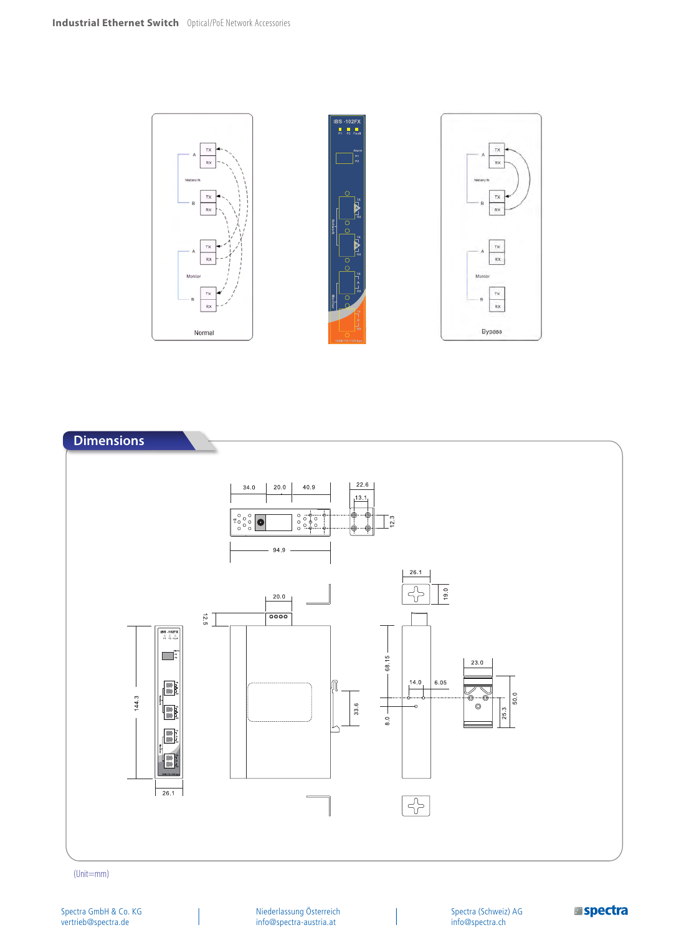



(Unit=mm)

Niederlassung Österreich info@spectra-austria.at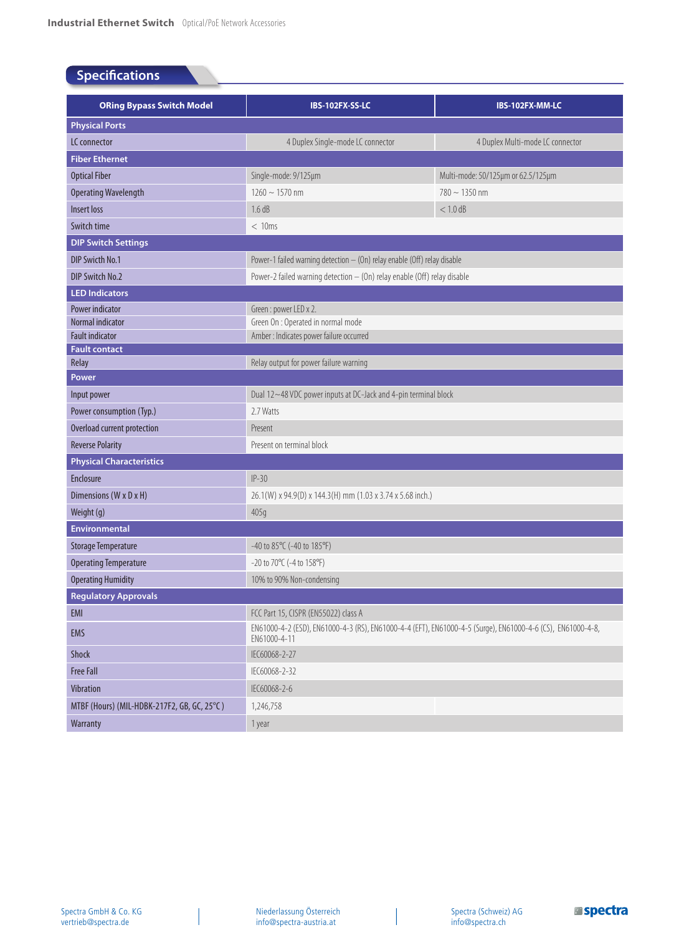# **Specifications**

| <b>ORing Bypass Switch Model</b>               | IBS-102FX-SS-LC                                                                                                             | IBS-102FX-MM-LC                    |  |  |
|------------------------------------------------|-----------------------------------------------------------------------------------------------------------------------------|------------------------------------|--|--|
| <b>Physical Ports</b>                          |                                                                                                                             |                                    |  |  |
| LC connector                                   | 4 Duplex Single-mode LC connector                                                                                           | 4 Duplex Multi-mode LC connector   |  |  |
| <b>Fiber Ethernet</b>                          |                                                                                                                             |                                    |  |  |
| <b>Optical Fiber</b>                           | Single-mode: 9/125µm                                                                                                        | Multi-mode: 50/125µm or 62.5/125µm |  |  |
| <b>Operating Wavelength</b>                    | $1260 \sim 1570$ nm                                                                                                         | $780 \sim 1350$ nm                 |  |  |
| Insert loss                                    | 1.6 dB                                                                                                                      | $< 1.0$ dB                         |  |  |
| Switch time                                    | < 10ms                                                                                                                      |                                    |  |  |
| <b>DIP Switch Settings</b>                     |                                                                                                                             |                                    |  |  |
| DIP Swicth No.1                                | Power-1 failed warning detection - (On) relay enable (Off) relay disable                                                    |                                    |  |  |
| DIP Switch No.2                                | Power-2 failed warning detection - (On) relay enable (Off) relay disable                                                    |                                    |  |  |
| <b>LED Indicators</b>                          |                                                                                                                             |                                    |  |  |
| Power indicator                                | Green: power LED x 2.                                                                                                       |                                    |  |  |
| Normal indicator                               | Green On : Operated in normal mode                                                                                          |                                    |  |  |
| <b>Fault indicator</b><br><b>Fault contact</b> | Amber : Indicates power failure occurred                                                                                    |                                    |  |  |
| Relay                                          | Relay output for power failure warning                                                                                      |                                    |  |  |
| Power                                          |                                                                                                                             |                                    |  |  |
| Input power                                    | Dual 12~48 VDC power inputs at DC-Jack and 4-pin terminal block                                                             |                                    |  |  |
| Power consumption (Typ.)                       | 2.7 Watts                                                                                                                   |                                    |  |  |
| Overload current protection                    | Present                                                                                                                     |                                    |  |  |
| <b>Reverse Polarity</b>                        | Present on terminal block                                                                                                   |                                    |  |  |
| <b>Physical Characteristics</b>                |                                                                                                                             |                                    |  |  |
| Enclosure                                      | $IP-30$                                                                                                                     |                                    |  |  |
| Dimensions (W x D x H)                         | 26.1(W) x 94.9(D) x 144.3(H) mm (1.03 x 3.74 x 5.68 inch.)                                                                  |                                    |  |  |
| Weight (g)                                     | 405q                                                                                                                        |                                    |  |  |
| <b>Environmental</b>                           |                                                                                                                             |                                    |  |  |
| <b>Storage Temperature</b>                     | -40 to 85°C (-40 to 185°F)                                                                                                  |                                    |  |  |
| <b>Operating Temperature</b>                   | -20 to 70°C (-4 to 158°F)                                                                                                   |                                    |  |  |
| <b>Operating Humidity</b>                      | 10% to 90% Non-condensing                                                                                                   |                                    |  |  |
| <b>Regulatory Approvals</b>                    |                                                                                                                             |                                    |  |  |
| EMI                                            | FCC Part 15, CISPR (EN55022) class A                                                                                        |                                    |  |  |
| EMS                                            | EN61000-4-2 (ESD), EN61000-4-3 (RS), EN61000-4-4 (EFT), EN61000-4-5 (Surge), EN61000-4-6 (CS), EN61000-4-8,<br>EN61000-4-11 |                                    |  |  |
| Shock                                          | IEC60068-2-27                                                                                                               |                                    |  |  |
| <b>Free Fall</b>                               | IEC60068-2-32                                                                                                               |                                    |  |  |
| <b>Vibration</b>                               | IEC60068-2-6                                                                                                                |                                    |  |  |
| MTBF (Hours) (MIL-HDBK-217F2, GB, GC, 25°C)    | 1,246,758                                                                                                                   |                                    |  |  |
| Warranty                                       | 1 year                                                                                                                      |                                    |  |  |